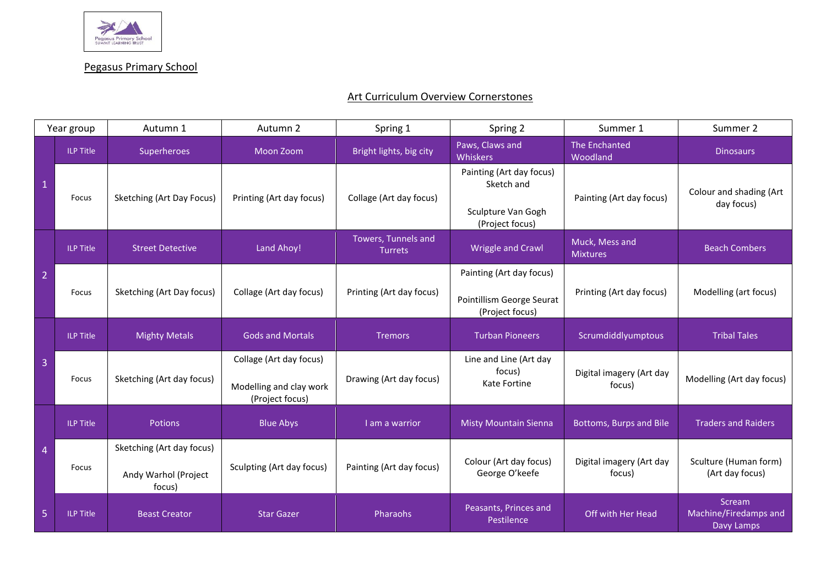

Pegasus Primary School

## Art Curriculum Overview Cornerstones

| Year group     |                  | Autumn 1                                                    | Autumn 2                                                              | Spring 1                              | Spring 2                                                                        | Summer 1                           | Summer 2                                      |
|----------------|------------------|-------------------------------------------------------------|-----------------------------------------------------------------------|---------------------------------------|---------------------------------------------------------------------------------|------------------------------------|-----------------------------------------------|
| $\mathbf{1}$   | <b>ILP Title</b> | Superheroes                                                 | Moon Zoom                                                             | Bright lights, big city               | Paws, Claws and<br>Whiskers                                                     | The Enchanted<br>Woodland          | <b>Dinosaurs</b>                              |
|                | Focus            | Sketching (Art Day Focus)                                   | Printing (Art day focus)                                              | Collage (Art day focus)               | Painting (Art day focus)<br>Sketch and<br>Sculpture Van Gogh<br>(Project focus) | Painting (Art day focus)           | Colour and shading (Art<br>day focus)         |
| $\overline{2}$ | <b>ILP Title</b> | <b>Street Detective</b>                                     | Land Ahoy!                                                            | Towers, Tunnels and<br><b>Turrets</b> | <b>Wriggle and Crawl</b>                                                        | Muck, Mess and<br><b>Mixtures</b>  | <b>Beach Combers</b>                          |
|                | Focus            | Sketching (Art Day focus)                                   | Collage (Art day focus)                                               | Printing (Art day focus)              | Painting (Art day focus)<br>Pointillism George Seurat<br>(Project focus)        | Printing (Art day focus)           | Modelling (art focus)                         |
| 3              | <b>ILP Title</b> | <b>Mighty Metals</b>                                        | <b>Gods and Mortals</b>                                               | <b>Tremors</b>                        | <b>Turban Pioneers</b>                                                          | Scrumdiddlyumptous                 | <b>Tribal Tales</b>                           |
|                | Focus            | Sketching (Art day focus)                                   | Collage (Art day focus)<br>Modelling and clay work<br>(Project focus) | Drawing (Art day focus)               | Line and Line (Art day<br>focus)<br>Kate Fortine                                | Digital imagery (Art day<br>focus) | Modelling (Art day focus)                     |
| 4              | <b>ILP Title</b> | Potions                                                     | <b>Blue Abys</b>                                                      | I am a warrior                        | <b>Misty Mountain Sienna</b>                                                    | Bottoms, Burps and Bile            | <b>Traders and Raiders</b>                    |
|                | Focus            | Sketching (Art day focus)<br>Andy Warhol (Project<br>focus) | Sculpting (Art day focus)                                             | Painting (Art day focus)              | Colour (Art day focus)<br>George O'keefe                                        | Digital imagery (Art day<br>focus) | Sculture (Human form)<br>(Art day focus)      |
| 5              | <b>ILP Title</b> | <b>Beast Creator</b>                                        | <b>Star Gazer</b>                                                     | Pharaohs                              | Peasants, Princes and<br>Pestilence                                             | Off with Her Head                  | Scream<br>Machine/Firedamps and<br>Davy Lamps |